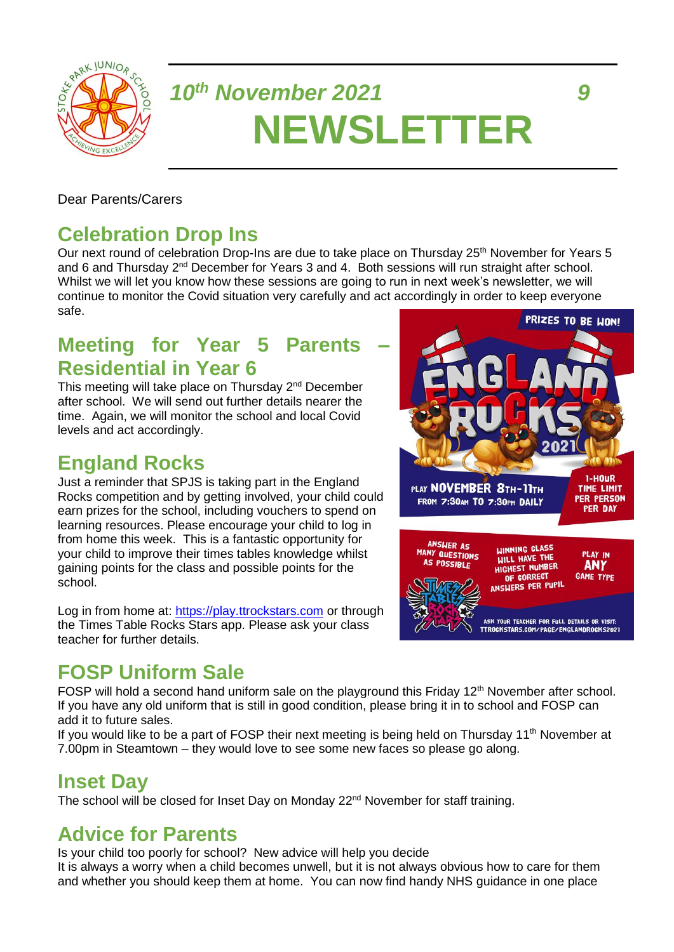

# *10th November 2021 9* **NEWSLETTER**

#### Dear Parents/Carers

## **Celebration Drop Ins**

Our next round of celebration Drop-Ins are due to take place on Thursday 25<sup>th</sup> November for Years 5 and 6 and Thursday 2<sup>nd</sup> December for Years 3 and 4. Both sessions will run straight after school. Whilst we will let you know how these sessions are going to run in next week's newsletter, we will continue to monitor the Covid situation very carefully and act accordingly in order to keep everyone safe.

## **Meeting for Year 5 Parents Residential in Year 6**

This meeting will take place on Thursday 2nd December after school. We will send out further details nearer the time. Again, we will monitor the school and local Covid levels and act accordingly.

## **England Rocks**

Just a reminder that SPJS is taking part in the England Rocks competition and by getting involved, your child could earn prizes for the school, including vouchers to spend on learning resources. Please encourage your child to log in from home this week. This is a fantastic opportunity for your child to improve their times tables knowledge whilst gaining points for the class and possible points for the school.

Log in from home at: [https://play.ttrockstars.com](https://play.ttrockstars.com/) or through the Times Table Rocks Stars app. Please ask your class teacher for further details.

## **FOSP Uniform Sale**

FOSP will hold a second hand uniform sale on the playground this Friday 12<sup>th</sup> November after school. If you have any old uniform that is still in good condition, please bring it in to school and FOSP can add it to future sales.

If you would like to be a part of FOSP their next meeting is being held on Thursday 11<sup>th</sup> November at 7.00pm in Steamtown – they would love to see some new faces so please go along.

#### **Inset Day**

The school will be closed for Inset Day on Monday 22<sup>nd</sup> November for staff training.

#### **Advice for Parents**

Is your child too poorly for school? New advice will help you decide It is always a worry when a child becomes unwell, but it is not always obvious how to care for them and whether you should keep them at home. You can now find handy NHS guidance in one place